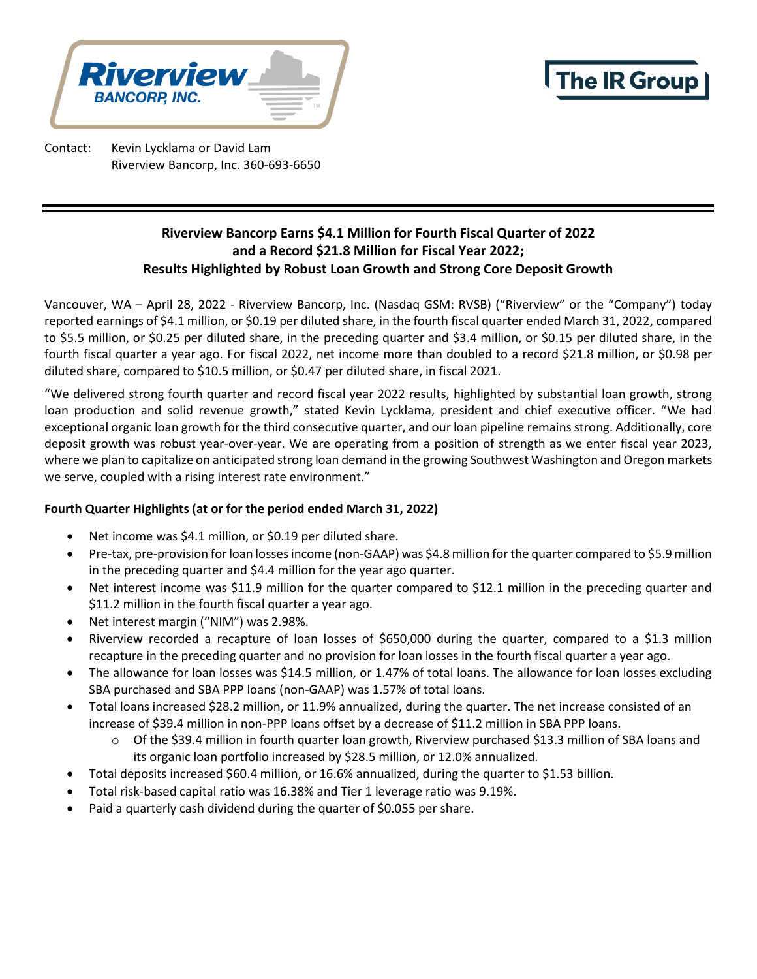



Contact: Kevin Lycklama or David Lam Riverview Bancorp, Inc. 360-693-6650

# **Riverview Bancorp Earns \$4.1 Million for Fourth Fiscal Quarter of 2022 and a Record \$21.8 Million for Fiscal Year 2022; Results Highlighted by Robust Loan Growth and Strong Core Deposit Growth**

Vancouver, WA – April 28, 2022 - Riverview Bancorp, Inc. (Nasdaq GSM: RVSB) ("Riverview" or the "Company") today reported earnings of \$4.1 million, or \$0.19 per diluted share, in the fourth fiscal quarter ended March 31, 2022, compared to \$5.5 million, or \$0.25 per diluted share, in the preceding quarter and \$3.4 million, or \$0.15 per diluted share, in the fourth fiscal quarter a year ago. For fiscal 2022, net income more than doubled to a record \$21.8 million, or \$0.98 per diluted share, compared to \$10.5 million, or \$0.47 per diluted share, in fiscal 2021.

"We delivered strong fourth quarter and record fiscal year 2022 results, highlighted by substantial loan growth, strong loan production and solid revenue growth," stated Kevin Lycklama, president and chief executive officer. "We had exceptional organic loan growth for the third consecutive quarter, and our loan pipeline remains strong. Additionally, core deposit growth was robust year-over-year. We are operating from a position of strength as we enter fiscal year 2023, where we plan to capitalize on anticipated strong loan demand in the growing Southwest Washington and Oregon markets we serve, coupled with a rising interest rate environment."

# **Fourth Quarter Highlights (at or for the period ended March 31, 2022)**

- Net income was \$4.1 million, or \$0.19 per diluted share.
- Pre-tax, pre-provision for loan lossesincome (non-GAAP) was \$4.8 million for the quarter compared to \$5.9 million in the preceding quarter and \$4.4 million for the year ago quarter.
- Net interest income was \$11.9 million for the quarter compared to \$12.1 million in the preceding quarter and \$11.2 million in the fourth fiscal quarter a year ago.
- Net interest margin ("NIM") was 2.98%.
- Riverview recorded a recapture of loan losses of \$650,000 during the quarter, compared to a \$1.3 million recapture in the preceding quarter and no provision for loan losses in the fourth fiscal quarter a year ago.
- The allowance for loan losses was \$14.5 million, or 1.47% of total loans. The allowance for loan losses excluding SBA purchased and SBA PPP loans (non-GAAP) was 1.57% of total loans.
- Total loans increased \$28.2 million, or 11.9% annualized, during the quarter. The net increase consisted of an increase of \$39.4 million in non-PPP loans offset by a decrease of \$11.2 million in SBA PPP loans.
	- o Of the \$39.4 million in fourth quarter loan growth, Riverview purchased \$13.3 million of SBA loans and its organic loan portfolio increased by \$28.5 million, or 12.0% annualized.
- Total deposits increased \$60.4 million, or 16.6% annualized, during the quarter to \$1.53 billion.
- Total risk-based capital ratio was 16.38% and Tier 1 leverage ratio was 9.19%.
- Paid a quarterly cash dividend during the quarter of \$0.055 per share.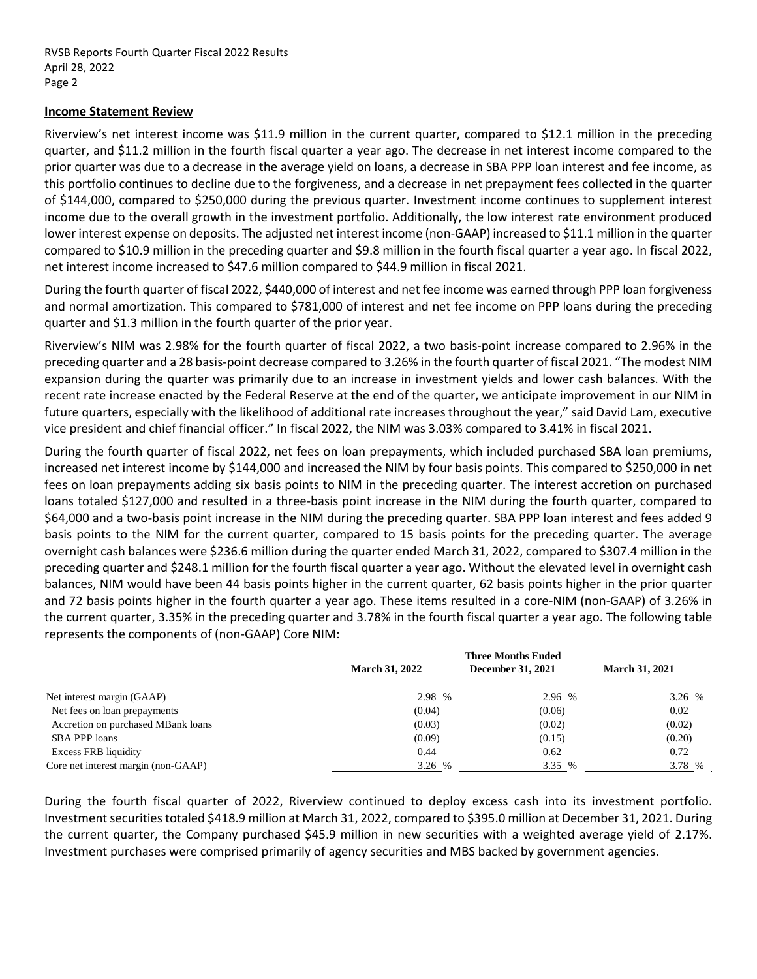# **Income Statement Review**

Riverview's net interest income was \$11.9 million in the current quarter, compared to \$12.1 million in the preceding quarter, and \$11.2 million in the fourth fiscal quarter a year ago. The decrease in net interest income compared to the prior quarter was due to a decrease in the average yield on loans, a decrease in SBA PPP loan interest and fee income, as this portfolio continues to decline due to the forgiveness, and a decrease in net prepayment fees collected in the quarter of \$144,000, compared to \$250,000 during the previous quarter. Investment income continues to supplement interest income due to the overall growth in the investment portfolio. Additionally, the low interest rate environment produced lower interest expense on deposits. The adjusted net interest income (non-GAAP) increased to \$11.1 million in the quarter compared to \$10.9 million in the preceding quarter and \$9.8 million in the fourth fiscal quarter a year ago. In fiscal 2022, net interest income increased to \$47.6 million compared to \$44.9 million in fiscal 2021.

During the fourth quarter of fiscal 2022, \$440,000 of interest and net fee income was earned through PPP loan forgiveness and normal amortization. This compared to \$781,000 of interest and net fee income on PPP loans during the preceding quarter and \$1.3 million in the fourth quarter of the prior year.

Riverview's NIM was 2.98% for the fourth quarter of fiscal 2022, a two basis-point increase compared to 2.96% in the preceding quarter and a 28 basis-point decrease compared to 3.26% in the fourth quarter of fiscal 2021. "The modest NIM expansion during the quarter was primarily due to an increase in investment yields and lower cash balances. With the recent rate increase enacted by the Federal Reserve at the end of the quarter, we anticipate improvement in our NIM in future quarters, especially with the likelihood of additional rate increases throughout the year," said David Lam, executive vice president and chief financial officer." In fiscal 2022, the NIM was 3.03% compared to 3.41% in fiscal 2021.

During the fourth quarter of fiscal 2022, net fees on loan prepayments, which included purchased SBA loan premiums, increased net interest income by \$144,000 and increased the NIM by four basis points. This compared to \$250,000 in net fees on loan prepayments adding six basis points to NIM in the preceding quarter. The interest accretion on purchased loans totaled \$127,000 and resulted in a three-basis point increase in the NIM during the fourth quarter, compared to \$64,000 and a two-basis point increase in the NIM during the preceding quarter. SBA PPP loan interest and fees added 9 basis points to the NIM for the current quarter, compared to 15 basis points for the preceding quarter. The average overnight cash balances were \$236.6 million during the quarter ended March 31, 2022, compared to \$307.4 million in the preceding quarter and \$248.1 million for the fourth fiscal quarter a year ago. Without the elevated level in overnight cash balances, NIM would have been 44 basis points higher in the current quarter, 62 basis points higher in the prior quarter and 72 basis points higher in the fourth quarter a year ago. These items resulted in a core-NIM (non-GAAP) of 3.26% in the current quarter, 3.35% in the preceding quarter and 3.78% in the fourth fiscal quarter a year ago. The following table represents the components of (non-GAAP) Core NIM:

|                                     |                       | <b>Three Months Ended</b> |                       |  |
|-------------------------------------|-----------------------|---------------------------|-----------------------|--|
|                                     | <b>March 31, 2022</b> | <b>December 31, 2021</b>  | <b>March 31, 2021</b> |  |
| Net interest margin (GAAP)          | 2.98 %                | 2.96 %                    | 3.26 %                |  |
| Net fees on loan prepayments        | (0.04)                | (0.06)                    | 0.02                  |  |
| Accretion on purchased MBank loans  | (0.03)                | (0.02)                    | (0.02)                |  |
| SBA PPP loans                       | (0.09)                | (0.15)                    | (0.20)                |  |
| <b>Excess FRB liquidity</b>         | 0.44                  | 0.62                      | 0.72                  |  |
| Core net interest margin (non-GAAP) | 3.26 %                | 3.35 %                    | 3.78 %                |  |

During the fourth fiscal quarter of 2022, Riverview continued to deploy excess cash into its investment portfolio. Investment securities totaled \$418.9 million at March 31, 2022, compared to \$395.0 million at December 31, 2021. During the current quarter, the Company purchased \$45.9 million in new securities with a weighted average yield of 2.17%. Investment purchases were comprised primarily of agency securities and MBS backed by government agencies.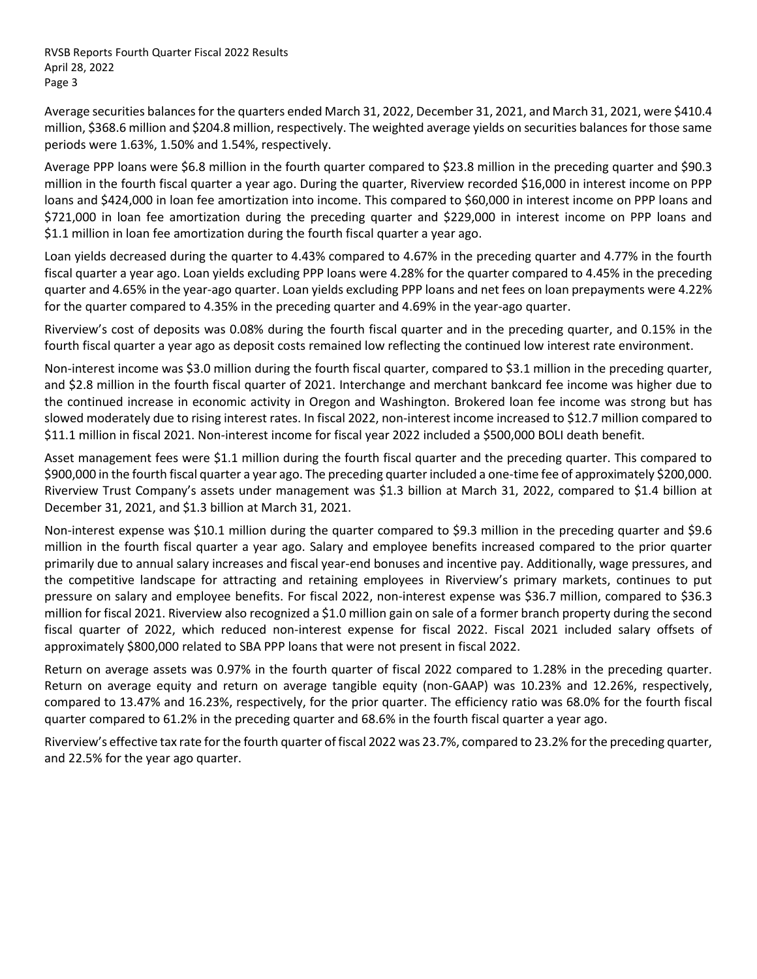Average securities balances for the quarters ended March 31, 2022, December 31, 2021, and March 31, 2021, were \$410.4 million, \$368.6 million and \$204.8 million, respectively. The weighted average yields on securities balances for those same periods were 1.63%, 1.50% and 1.54%, respectively.

Average PPP loans were \$6.8 million in the fourth quarter compared to \$23.8 million in the preceding quarter and \$90.3 million in the fourth fiscal quarter a year ago. During the quarter, Riverview recorded \$16,000 in interest income on PPP loans and \$424,000 in loan fee amortization into income. This compared to \$60,000 in interest income on PPP loans and \$721,000 in loan fee amortization during the preceding quarter and \$229,000 in interest income on PPP loans and \$1.1 million in loan fee amortization during the fourth fiscal quarter a year ago.

Loan yields decreased during the quarter to 4.43% compared to 4.67% in the preceding quarter and 4.77% in the fourth fiscal quarter a year ago. Loan yields excluding PPP loans were 4.28% for the quarter compared to 4.45% in the preceding quarter and 4.65% in the year-ago quarter. Loan yields excluding PPP loans and net fees on loan prepayments were 4.22% for the quarter compared to 4.35% in the preceding quarter and 4.69% in the year-ago quarter.

Riverview's cost of deposits was 0.08% during the fourth fiscal quarter and in the preceding quarter, and 0.15% in the fourth fiscal quarter a year ago as deposit costs remained low reflecting the continued low interest rate environment.

Non-interest income was \$3.0 million during the fourth fiscal quarter, compared to \$3.1 million in the preceding quarter, and \$2.8 million in the fourth fiscal quarter of 2021. Interchange and merchant bankcard fee income was higher due to the continued increase in economic activity in Oregon and Washington. Brokered loan fee income was strong but has slowed moderately due to rising interest rates. In fiscal 2022, non-interest income increased to \$12.7 million compared to \$11.1 million in fiscal 2021. Non-interest income for fiscal year 2022 included a \$500,000 BOLI death benefit.

Asset management fees were \$1.1 million during the fourth fiscal quarter and the preceding quarter. This compared to \$900,000 in the fourth fiscal quarter a year ago. The preceding quarter included a one-time fee of approximately \$200,000. Riverview Trust Company's assets under management was \$1.3 billion at March 31, 2022, compared to \$1.4 billion at December 31, 2021, and \$1.3 billion at March 31, 2021.

Non-interest expense was \$10.1 million during the quarter compared to \$9.3 million in the preceding quarter and \$9.6 million in the fourth fiscal quarter a year ago. Salary and employee benefits increased compared to the prior quarter primarily due to annual salary increases and fiscal year-end bonuses and incentive pay. Additionally, wage pressures, and the competitive landscape for attracting and retaining employees in Riverview's primary markets, continues to put pressure on salary and employee benefits. For fiscal 2022, non-interest expense was \$36.7 million, compared to \$36.3 million for fiscal 2021. Riverview also recognized a \$1.0 million gain on sale of a former branch property during the second fiscal quarter of 2022, which reduced non-interest expense for fiscal 2022. Fiscal 2021 included salary offsets of approximately \$800,000 related to SBA PPP loans that were not present in fiscal 2022.

Return on average assets was 0.97% in the fourth quarter of fiscal 2022 compared to 1.28% in the preceding quarter. Return on average equity and return on average tangible equity (non-GAAP) was 10.23% and 12.26%, respectively, compared to 13.47% and 16.23%, respectively, for the prior quarter. The efficiency ratio was 68.0% for the fourth fiscal quarter compared to 61.2% in the preceding quarter and 68.6% in the fourth fiscal quarter a year ago.

Riverview's effective tax rate for the fourth quarter of fiscal 2022 was 23.7%, compared to 23.2% for the preceding quarter, and 22.5% for the year ago quarter.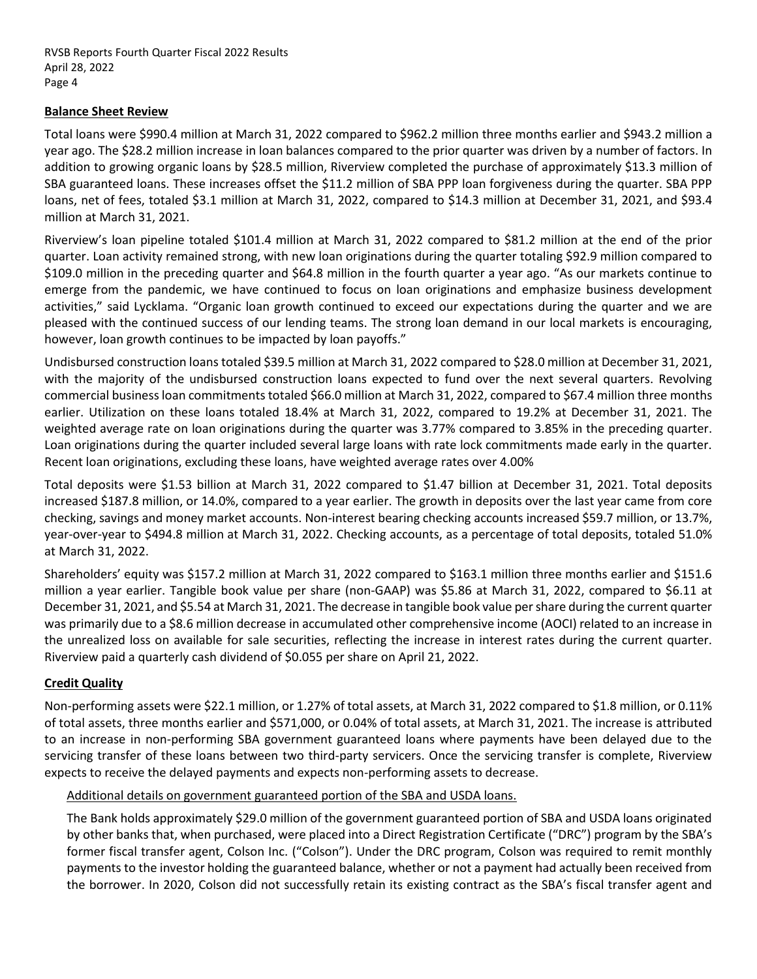# **Balance Sheet Review**

Total loans were \$990.4 million at March 31, 2022 compared to \$962.2 million three months earlier and \$943.2 million a year ago. The \$28.2 million increase in loan balances compared to the prior quarter was driven by a number of factors. In addition to growing organic loans by \$28.5 million, Riverview completed the purchase of approximately \$13.3 million of SBA guaranteed loans. These increases offset the \$11.2 million of SBA PPP loan forgiveness during the quarter. SBA PPP loans, net of fees, totaled \$3.1 million at March 31, 2022, compared to \$14.3 million at December 31, 2021, and \$93.4 million at March 31, 2021.

Riverview's loan pipeline totaled \$101.4 million at March 31, 2022 compared to \$81.2 million at the end of the prior quarter. Loan activity remained strong, with new loan originations during the quarter totaling \$92.9 million compared to \$109.0 million in the preceding quarter and \$64.8 million in the fourth quarter a year ago. "As our markets continue to emerge from the pandemic, we have continued to focus on loan originations and emphasize business development activities," said Lycklama. "Organic loan growth continued to exceed our expectations during the quarter and we are pleased with the continued success of our lending teams. The strong loan demand in our local markets is encouraging, however, loan growth continues to be impacted by loan payoffs."

Undisbursed construction loans totaled \$39.5 million at March 31, 2022 compared to \$28.0 million at December 31, 2021, with the majority of the undisbursed construction loans expected to fund over the next several quarters. Revolving commercial business loan commitments totaled \$66.0 million at March 31, 2022, compared to \$67.4 million three months earlier. Utilization on these loans totaled 18.4% at March 31, 2022, compared to 19.2% at December 31, 2021. The weighted average rate on loan originations during the quarter was 3.77% compared to 3.85% in the preceding quarter. Loan originations during the quarter included several large loans with rate lock commitments made early in the quarter. Recent loan originations, excluding these loans, have weighted average rates over 4.00%

Total deposits were \$1.53 billion at March 31, 2022 compared to \$1.47 billion at December 31, 2021. Total deposits increased \$187.8 million, or 14.0%, compared to a year earlier. The growth in deposits over the last year came from core checking, savings and money market accounts. Non-interest bearing checking accounts increased \$59.7 million, or 13.7%, year-over-year to \$494.8 million at March 31, 2022. Checking accounts, as a percentage of total deposits, totaled 51.0% at March 31, 2022.

Shareholders' equity was \$157.2 million at March 31, 2022 compared to \$163.1 million three months earlier and \$151.6 million a year earlier. Tangible book value per share (non-GAAP) was \$5.86 at March 31, 2022, compared to \$6.11 at December 31, 2021, and \$5.54 at March 31, 2021. The decrease in tangible book value per share during the current quarter was primarily due to a \$8.6 million decrease in accumulated other comprehensive income (AOCI) related to an increase in the unrealized loss on available for sale securities, reflecting the increase in interest rates during the current quarter. Riverview paid a quarterly cash dividend of \$0.055 per share on April 21, 2022.

# **Credit Quality**

Non-performing assets were \$22.1 million, or 1.27% of total assets, at March 31, 2022 compared to \$1.8 million, or 0.11% of total assets, three months earlier and \$571,000, or 0.04% of total assets, at March 31, 2021. The increase is attributed to an increase in non-performing SBA government guaranteed loans where payments have been delayed due to the servicing transfer of these loans between two third-party servicers. Once the servicing transfer is complete, Riverview expects to receive the delayed payments and expects non-performing assets to decrease.

# Additional details on government guaranteed portion of the SBA and USDA loans.

The Bank holds approximately \$29.0 million of the government guaranteed portion of SBA and USDA loans originated by other banks that, when purchased, were placed into a Direct Registration Certificate ("DRC") program by the SBA's former fiscal transfer agent, Colson Inc. ("Colson"). Under the DRC program, Colson was required to remit monthly payments to the investor holding the guaranteed balance, whether or not a payment had actually been received from the borrower. In 2020, Colson did not successfully retain its existing contract as the SBA's fiscal transfer agent and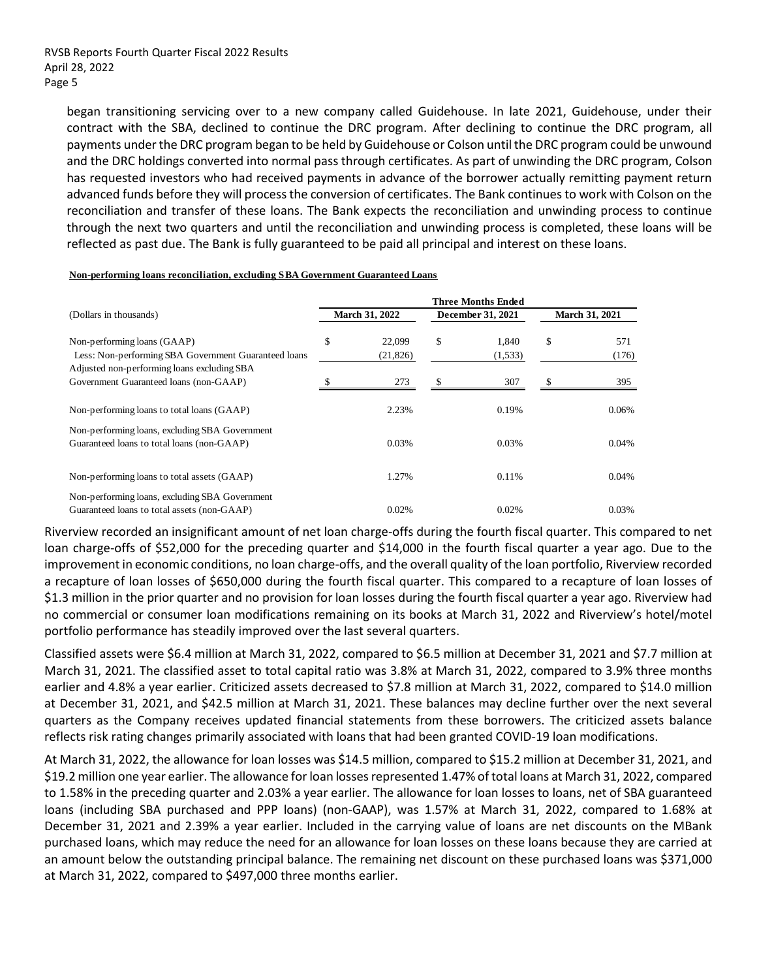began transitioning servicing over to a new company called Guidehouse. In late 2021, Guidehouse, under their contract with the SBA, declined to continue the DRC program. After declining to continue the DRC program, all payments under the DRC program began to be held by Guidehouse or Colson until the DRC program could be unwound and the DRC holdings converted into normal pass through certificates. As part of unwinding the DRC program, Colson has requested investors who had received payments in advance of the borrower actually remitting payment return advanced funds before they will process the conversion of certificates. The Bank continues to work with Colson on the reconciliation and transfer of these loans. The Bank expects the reconciliation and unwinding process to continue through the next two quarters and until the reconciliation and unwinding process is completed, these loans will be reflected as past due. The Bank is fully guaranteed to be paid all principal and interest on these loans.

### **Non-performing loans reconciliation, excluding SBA Government Guaranteed Loans**

|                                                                                                                                    | <b>Three Months Ended</b> |                     |    |                          |                |              |  |  |  |  |  |
|------------------------------------------------------------------------------------------------------------------------------------|---------------------------|---------------------|----|--------------------------|----------------|--------------|--|--|--|--|--|
| (Dollars in thousands)                                                                                                             |                           | March 31, 2022      |    | <b>December 31, 2021</b> | March 31, 2021 |              |  |  |  |  |  |
| Non-performing loans (GAAP)<br>Less: Non-performing SBA Government Guaranteed loans<br>Adjusted non-performing loans excluding SBA | \$                        | 22,099<br>(21, 826) | \$ | 1.840<br>(1,533)         | \$             | 571<br>(176) |  |  |  |  |  |
| Government Guaranteed loans (non-GAAP)                                                                                             |                           | 273                 |    | 307                      |                | 395          |  |  |  |  |  |
| Non-performing loans to total loans (GAAP)                                                                                         |                           | 2.23%               |    | 0.19%                    |                | 0.06%        |  |  |  |  |  |
| Non-performing loans, excluding SBA Government<br>Guaranteed loans to total loans (non-GAAP)                                       |                           | 0.03%               |    | 0.03%                    |                | 0.04%        |  |  |  |  |  |
| Non-performing loans to total assets (GAAP)                                                                                        |                           | 1.27%               |    | 0.11%                    |                | 0.04%        |  |  |  |  |  |
| Non-performing loans, excluding SBA Government<br>Guaranteed loans to total assets (non-GAAP)                                      |                           | 0.02%               |    | 0.02%                    |                | 0.03%        |  |  |  |  |  |

Riverview recorded an insignificant amount of net loan charge-offs during the fourth fiscal quarter. This compared to net loan charge-offs of \$52,000 for the preceding quarter and \$14,000 in the fourth fiscal quarter a year ago. Due to the improvement in economic conditions, no loan charge-offs, and the overall quality of the loan portfolio, Riverview recorded a recapture of loan losses of \$650,000 during the fourth fiscal quarter. This compared to a recapture of loan losses of \$1.3 million in the prior quarter and no provision for loan losses during the fourth fiscal quarter a year ago. Riverview had no commercial or consumer loan modifications remaining on its books at March 31, 2022 and Riverview's hotel/motel portfolio performance has steadily improved over the last several quarters.

Classified assets were \$6.4 million at March 31, 2022, compared to \$6.5 million at December 31, 2021 and \$7.7 million at March 31, 2021. The classified asset to total capital ratio was 3.8% at March 31, 2022, compared to 3.9% three months earlier and 4.8% a year earlier. Criticized assets decreased to \$7.8 million at March 31, 2022, compared to \$14.0 million at December 31, 2021, and \$42.5 million at March 31, 2021. These balances may decline further over the next several quarters as the Company receives updated financial statements from these borrowers. The criticized assets balance reflects risk rating changes primarily associated with loans that had been granted COVID-19 loan modifications.

At March 31, 2022, the allowance for loan losses was \$14.5 million, compared to \$15.2 million at December 31, 2021, and \$19.2 million one year earlier. The allowance for loan losses represented 1.47% of total loans at March 31, 2022, compared to 1.58% in the preceding quarter and 2.03% a year earlier. The allowance for loan losses to loans, net of SBA guaranteed loans (including SBA purchased and PPP loans) (non-GAAP), was 1.57% at March 31, 2022, compared to 1.68% at December 31, 2021 and 2.39% a year earlier. Included in the carrying value of loans are net discounts on the MBank purchased loans, which may reduce the need for an allowance for loan losses on these loans because they are carried at an amount below the outstanding principal balance. The remaining net discount on these purchased loans was \$371,000 at March 31, 2022, compared to \$497,000 three months earlier.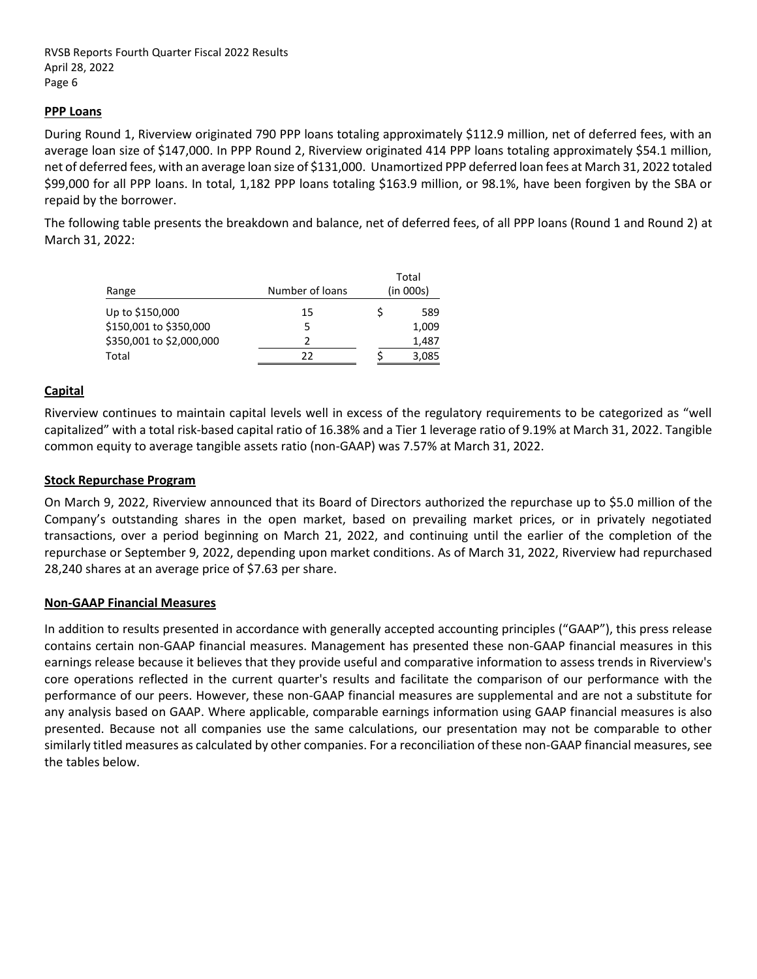## **PPP Loans**

During Round 1, Riverview originated 790 PPP loans totaling approximately \$112.9 million, net of deferred fees, with an average loan size of \$147,000. In PPP Round 2, Riverview originated 414 PPP loans totaling approximately \$54.1 million, net of deferred fees, with an average loan size of \$131,000. Unamortized PPP deferred loan fees at March 31, 2022 totaled \$99,000 for all PPP loans. In total, 1,182 PPP loans totaling \$163.9 million, or 98.1%, have been forgiven by the SBA or repaid by the borrower.

The following table presents the breakdown and balance, net of deferred fees, of all PPP loans (Round 1 and Round 2) at March 31, 2022:

|                          |                 |           | Total |  |  |  |
|--------------------------|-----------------|-----------|-------|--|--|--|
| Range                    | Number of loans | (in 000s) |       |  |  |  |
| Up to \$150,000          | 15              |           | 589   |  |  |  |
| \$150,001 to \$350,000   |                 |           | 1,009 |  |  |  |
| \$350,001 to \$2,000,000 |                 |           | 1,487 |  |  |  |
| Total                    | 22              |           | 3,085 |  |  |  |

# **Capital**

Riverview continues to maintain capital levels well in excess of the regulatory requirements to be categorized as "well capitalized" with a total risk-based capital ratio of 16.38% and a Tier 1 leverage ratio of 9.19% at March 31, 2022. Tangible common equity to average tangible assets ratio (non-GAAP) was 7.57% at March 31, 2022.

# **Stock Repurchase Program**

On March 9, 2022, Riverview announced that its Board of Directors authorized the repurchase up to \$5.0 million of the Company's outstanding shares in the open market, based on prevailing market prices, or in privately negotiated transactions, over a period beginning on March 21, 2022, and continuing until the earlier of the completion of the repurchase or September 9, 2022, depending upon market conditions. As of March 31, 2022, Riverview had repurchased 28,240 shares at an average price of \$7.63 per share.

## **Non-GAAP Financial Measures**

In addition to results presented in accordance with generally accepted accounting principles ("GAAP"), this press release contains certain non-GAAP financial measures. Management has presented these non-GAAP financial measures in this earnings release because it believes that they provide useful and comparative information to assess trends in Riverview's core operations reflected in the current quarter's results and facilitate the comparison of our performance with the performance of our peers. However, these non-GAAP financial measures are supplemental and are not a substitute for any analysis based on GAAP. Where applicable, comparable earnings information using GAAP financial measures is also presented. Because not all companies use the same calculations, our presentation may not be comparable to other similarly titled measures as calculated by other companies. For a reconciliation of these non-GAAP financial measures, see the tables below.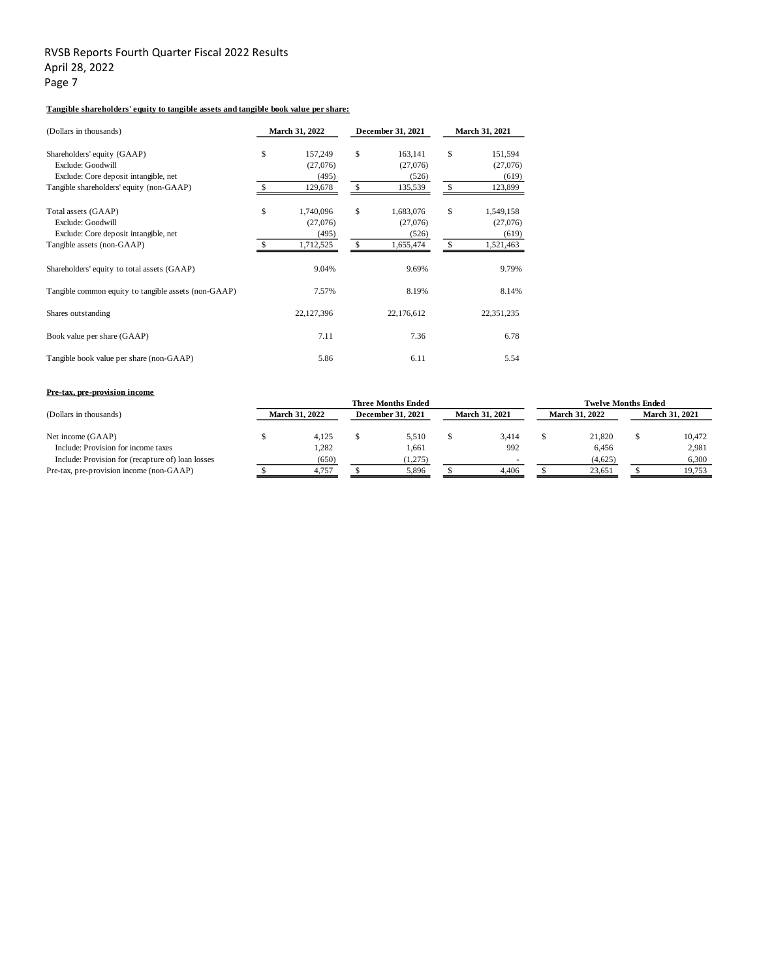### **Tangible shareholders' equity to tangible assets and tangible book value per share:**

| (Dollars in thousands)                               |    | March 31, 2022 | December 31, 2021 | March 31, 2021 |            |  |
|------------------------------------------------------|----|----------------|-------------------|----------------|------------|--|
| Shareholders' equity (GAAP)                          | \$ | 157,249        | \$<br>163,141     | \$             | 151,594    |  |
| Exclude: Goodwill                                    |    | (27,076)       | (27,076)          |                | (27,076)   |  |
| Exclude: Core deposit intangible, net                |    | (495)          | (526)             |                | (619)      |  |
| Tangible shareholders' equity (non-GAAP)             | -S | 129,678        | \$<br>135,539     | \$             | 123,899    |  |
| Total assets (GAAP)                                  | \$ | 1,740,096      | \$<br>1,683,076   | \$             | 1,549,158  |  |
| Exclude: Goodwill                                    |    | (27,076)       | (27,076)          |                | (27,076)   |  |
| Exclude: Core deposit intangible, net                |    | (495)          | (526)             |                | (619)      |  |
| Tangible assets (non-GAAP)                           |    | 1,712,525      | \$<br>1,655,474   | \$             | 1,521,463  |  |
| Shareholders' equity to total assets (GAAP)          |    | 9.04%          | 9.69%             |                | 9.79%      |  |
| Tangible common equity to tangible assets (non-GAAP) |    | 7.57%          | 8.19%             |                | 8.14%      |  |
| Shares outstanding                                   |    | 22,127,396     | 22,176,612        |                | 22,351,235 |  |
| Book value per share (GAAP)                          |    | 7.11           | 7.36              |                | 6.78       |  |
| Tangible book value per share (non-GAAP)             |    | 5.86           | 6.11              |                | 5.54       |  |

## **Pre-tax, pre-provision income**

|                                                   |  |                       |  | <b>Three Months Ended</b> | <b>Twelve Months Ended</b> |                       |  |                       |  |                       |  |
|---------------------------------------------------|--|-----------------------|--|---------------------------|----------------------------|-----------------------|--|-----------------------|--|-----------------------|--|
| (Dollars in thousands)                            |  | <b>March 31, 2022</b> |  | <b>December 31, 2021</b>  |                            | <b>March 31, 2021</b> |  | <b>March 31, 2022</b> |  | <b>March 31, 2021</b> |  |
|                                                   |  |                       |  |                           |                            |                       |  |                       |  |                       |  |
| Net income (GAAP)                                 |  | 4.125                 |  | 5.510                     |                            | 3.414                 |  | 21,820                |  | 10.472                |  |
| Include: Provision for income taxes               |  | 1.282                 |  | 1.661                     |                            | 992                   |  | 6.456                 |  | 2,981                 |  |
| Include: Provision for (recapture of) loan losses |  | (650)                 |  | (1,275)                   |                            |                       |  | (4,625)               |  | 6,300                 |  |
| Pre-tax, pre-provision income (non-GAAP)          |  | 4.757                 |  | 5.896                     |                            | 4.406                 |  | 23.651                |  | 19.753                |  |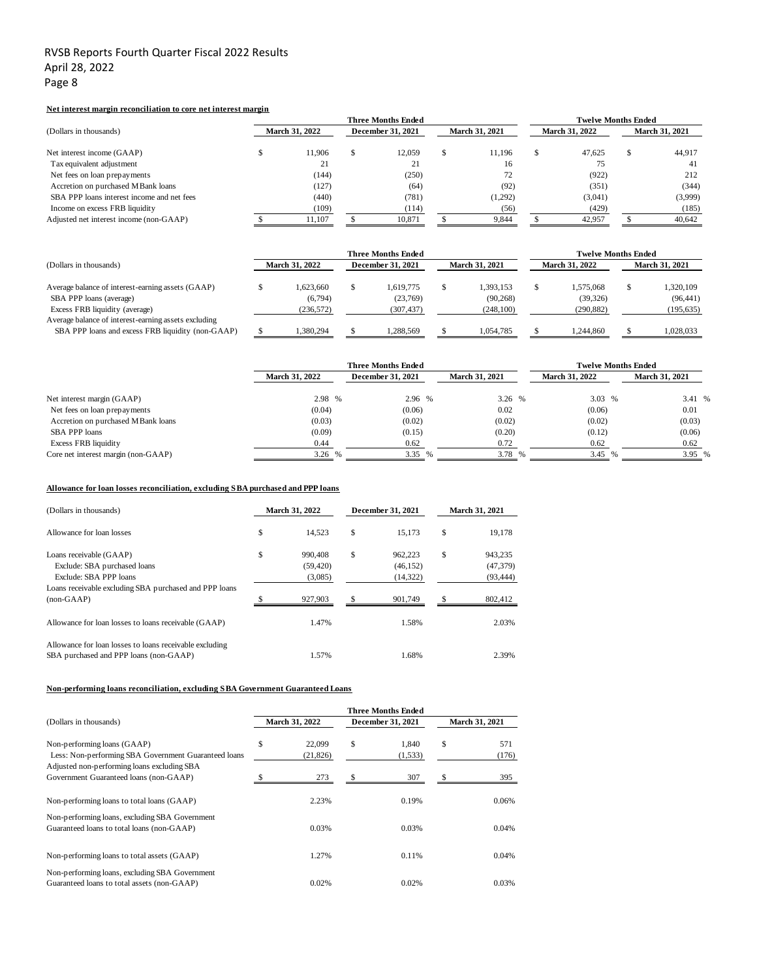### **Net interest margin reconciliation to core net interest margin**

|                                            |                | <b>Three Months Ended</b> | <b>Twelve Months Ended</b> |  |                |  |                       |  |                       |
|--------------------------------------------|----------------|---------------------------|----------------------------|--|----------------|--|-----------------------|--|-----------------------|
| (Dollars in thousands)                     | March 31, 2022 |                           | December 31, 2021          |  | March 31, 2021 |  | <b>March 31, 2022</b> |  | <b>March 31, 2021</b> |
| Net interest income (GAAP)                 | 11.906         |                           | 12.059                     |  | 11.196         |  | 47.625                |  | 44,917                |
| Tax equivalent adjustment                  | 21             |                           | 21                         |  | 16             |  | 75                    |  | 41                    |
| Net fees on loan prepayments               | (144)          |                           | (250)                      |  | 72             |  | (922)                 |  | 212                   |
| Accretion on purchased MBank loans         | (127)          |                           | (64)                       |  | (92)           |  | (351)                 |  | (344)                 |
| SBA PPP loans interest income and net fees | (440)          |                           | (781)                      |  | (1,292)        |  | (3,041)               |  | (3,999)               |
| Income on excess FRB liquidity             | (109)          |                           | (114)                      |  | (56)           |  | (429)                 |  | (185)                 |
| Adjusted net interest income (non-GAAP)    | 11,107         |                           | 10,871                     |  | 9,844          |  | 42,957                |  | 40,642                |

|                                                      |  |                |  | <b>Three Months Ended</b> | Twelve Months Ended |                |  |                |  |                       |  |
|------------------------------------------------------|--|----------------|--|---------------------------|---------------------|----------------|--|----------------|--|-----------------------|--|
| (Dollars in thousands)                               |  | March 31, 2022 |  | December 31, 2021         |                     | March 31, 2021 |  | March 31, 2022 |  | <b>March 31, 2021</b> |  |
| Average balance of interest-earning assets (GAAP)    |  | 1.623.660      |  | 1.619.775                 |                     | 1.393.153      |  | 1.575.068      |  | 1,320,109             |  |
| SBA PPP loans (average)                              |  | (6,794)        |  | (23,769)                  |                     | (90, 268)      |  | (39, 326)      |  | (96, 441)             |  |
| Excess FRB liquidity (average)                       |  | (236, 572)     |  | (307, 437)                |                     | (248, 100)     |  | (290, 882)     |  | (195, 635)            |  |
| Average balance of interest-earning assets excluding |  |                |  |                           |                     |                |  |                |  |                       |  |
| SBA PPP loans and excess FRB liquidity (non-GAAP)    |  | 1.380.294      |  | 1.288.569                 |                     | 1,054,785      |  | 1.244.860      |  | 1.028.033             |  |

|                                     |                       | <b>Three Months Ended</b> |                       | <b>Twelve Months Ended</b> |                       |  |  |  |  |
|-------------------------------------|-----------------------|---------------------------|-----------------------|----------------------------|-----------------------|--|--|--|--|
|                                     | <b>March 31, 2022</b> | <b>December 31, 2021</b>  | <b>March 31, 2021</b> | <b>March 31, 2022</b>      | <b>March 31, 2021</b> |  |  |  |  |
| Net interest margin (GAAP)          | 2.98 %                | 2.96%                     | 3.26%                 | 3.03%                      | 3.41 %                |  |  |  |  |
| Net fees on loan prepayments        | (0.04)                | (0.06)                    | 0.02                  | (0.06)                     | 0.01                  |  |  |  |  |
| Accretion on purchased MBank loans  | (0.03)                | (0.02)                    | (0.02)                | (0.02)                     | (0.03)                |  |  |  |  |
| SBA PPP loans                       | (0.09)                | (0.15)                    | (0.20)                | (0.12)                     | (0.06)                |  |  |  |  |
| <b>Excess FRB</b> liquidity         | 0.44                  | 0.62                      | 0.72                  | 0.62                       | 0.62                  |  |  |  |  |
| Core net interest margin (non-GAAP) | 3.26%                 | 3.35 %                    | 3.78 %                | 3.45 %                     | 3.95 %                |  |  |  |  |

### **Allowance for loan losses reconciliation, excluding SBA purchased and PPP loans**

| (Dollars in thousands)                                                                            | March 31, 2022 |     | December 31, 2021 | March 31, 2021 |           |  |
|---------------------------------------------------------------------------------------------------|----------------|-----|-------------------|----------------|-----------|--|
| Allowance for loan losses                                                                         | \$<br>14.523   | \$  | 15.173            | \$             | 19.178    |  |
| Loans receivable (GAAP)                                                                           | \$<br>990,408  | \$  | 962,223           | \$             | 943,235   |  |
| Exclude: SBA purchased loans                                                                      | (59, 420)      |     | (46, 152)         |                | (47, 379) |  |
| Exclude: SBA PPP loans                                                                            | (3,085)        |     | (14, 322)         |                | (93, 444) |  |
| Loans receivable excluding SBA purchased and PPP loans                                            |                |     |                   |                |           |  |
| $(non-GAAP)$                                                                                      | 927,903        | \$. | 901,749           |                | 802,412   |  |
| Allowance for loan losses to loans receivable (GAAP)                                              | 1.47%          |     | 1.58%             |                | 2.03%     |  |
| Allowance for loan losses to loans receivable excluding<br>SBA purchased and PPP loans (non-GAAP) | 1.57%          |     | 1.68%             |                | 2.39%     |  |

#### **Non-performing loans reconciliation, excluding SBA Government Guaranteed Loans**

|                                                                                               | <b>Three Months Ended</b> |                     |    |                   |                |              |  |  |  |  |  |
|-----------------------------------------------------------------------------------------------|---------------------------|---------------------|----|-------------------|----------------|--------------|--|--|--|--|--|
| (Dollars in thousands)                                                                        |                           | March 31, 2022      |    | December 31, 2021 | March 31, 2021 |              |  |  |  |  |  |
| Non-performing loans (GAAP)<br>Less: Non-performing SBA Government Guaranteed loans           | \$                        | 22,099<br>(21, 826) | \$ | 1.840<br>(1,533)  | \$             | 571<br>(176) |  |  |  |  |  |
| Adjusted non-performing loans excluding SBA<br>Government Guaranteed loans (non-GAAP)         |                           | 273                 | \$ | 307               |                | 395          |  |  |  |  |  |
| Non-performing loans to total loans (GAAP)                                                    |                           | 2.23%               |    | 0.19%             |                | 0.06%        |  |  |  |  |  |
| Non-performing loans, excluding SBA Government<br>Guaranteed loans to total loans (non-GAAP)  |                           | 0.03%               |    | 0.03%             |                | 0.04%        |  |  |  |  |  |
| Non-performing loans to total assets (GAAP)                                                   |                           | 1.27%               |    | 0.11%             |                | 0.04%        |  |  |  |  |  |
| Non-performing loans, excluding SBA Government<br>Guaranteed loans to total assets (non-GAAP) |                           | 0.02%               |    | 0.02%             |                | 0.03%        |  |  |  |  |  |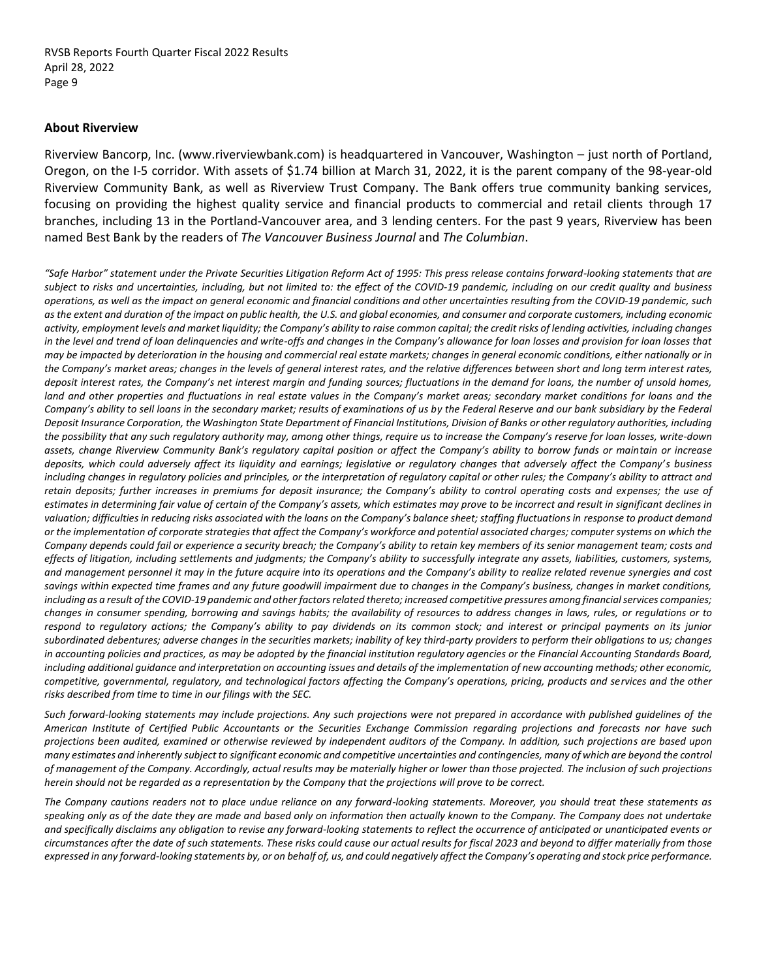## **About Riverview**

Riverview Bancorp, Inc. (www.riverviewbank.com) is headquartered in Vancouver, Washington – just north of Portland, Oregon, on the I-5 corridor. With assets of \$1.74 billion at March 31, 2022, it is the parent company of the 98-year-old Riverview Community Bank, as well as Riverview Trust Company. The Bank offers true community banking services, focusing on providing the highest quality service and financial products to commercial and retail clients through 17 branches, including 13 in the Portland-Vancouver area, and 3 lending centers. For the past 9 years, Riverview has been named Best Bank by the readers of *The Vancouver Business Journal* and *The Columbian*.

*"Safe Harbor" statement under the Private Securities Litigation Reform Act of 1995: This press release contains forward-looking statements that are subject to risks and uncertainties, including, but not limited to: the effect of the COVID-19 pandemic, including on our credit quality and business operations, as well as the impact on general economic and financial conditions and other uncertainties resulting from the COVID-19 pandemic, such as the extent and duration of the impact on public health, the U.S. and global economies, and consumer and corporate customers, including economic activity, employment levels and market liquidity; the Company's ability to raise common capital; the credit risks of lending activities, including changes in the level and trend of loan delinquencies and write-offs and changes in the Company's allowance for loan losses and provision for loan losses that may be impacted by deterioration in the housing and commercial real estate markets; changes in general economic conditions, either nationally or in the Company's market areas; changes in the levels of general interest rates, and the relative differences between short and long term interest rates, deposit interest rates, the Company's net interest margin and funding sources; fluctuations in the demand for loans, the number of unsold homes, land and other properties and fluctuations in real estate values in the Company's market areas; secondary market conditions for loans and the Company's ability to sell loans in the secondary market; results of examinations of us by the Federal Reserve and our bank subsidiary by the Federal Deposit Insurance Corporation, the Washington State Department of Financial Institutions, Division of Banks or other regulatory authorities, including the possibility that any such regulatory authority may, among other things, require us to increase the Company's reserve for loan losses, write-down assets, change Riverview Community Bank's regulatory capital position or affect the Company's ability to borrow funds or maintain or increase deposits, which could adversely affect its liquidity and earnings; legislative or regulatory changes that adversely affect the Company's business including changes in regulatory policies and principles, or the interpretation of regulatory capital or other rules; the Company's ability to attract and retain deposits; further increases in premiums for deposit insurance; the Company's ability to control operating costs and expenses; the use of*  estimates in determining fair value of certain of the Company's assets, which estimates may prove to be incorrect and result in significant declines in valuation; difficulties in reducing risks associated with the loans on the Company's balance sheet; staffing fluctuations in response to product demand *or the implementation of corporate strategies that affect the Company's workforce and potential associated charges; computer systems on which the Company depends could fail or experience a security breach; the Company's ability to retain key members of its senior management team; costs and effects of litigation, including settlements and judgments; the Company's ability to successfully integrate any assets, liabilities, customers, systems, and management personnel it may in the future acquire into its operations and the Company's ability to realize related revenue synergies and cost savings within expected time frames and any future goodwill impairment due to changes in the Company's business, changes in market conditions,*  including as a result of the COVID-19 pandemic and other factors related thereto; increased competitive pressures among financial services companies; *changes in consumer spending, borrowing and savings habits; the availability of resources to address changes in laws, rules, or regulations or to respond to regulatory actions; the Company's ability to pay dividends on its common stock; and interest or principal payments on its junior subordinated debentures; adverse changes in the securities markets; inability of key third-party providers to perform their obligations to us; changes in accounting policies and practices, as may be adopted by the financial institution regulatory agencies or the Financial Accounting Standards Board, including additional guidance and interpretation on accounting issues and details of the implementation of new accounting methods; other economic, competitive, governmental, regulatory, and technological factors affecting the Company's operations, pricing, products and services and the other risks described from time to time in our filings with the SEC.* 

*Such forward-looking statements may include projections. Any such projections were not prepared in accordance with published guidelines of the American Institute of Certified Public Accountants or the Securities Exchange Commission regarding projections and forecasts nor have such projections been audited, examined or otherwise reviewed by independent auditors of the Company. In addition, such projections are based upon many estimates and inherently subject to significant economic and competitive uncertainties and contingencies, many of which are beyond the control of management of the Company. Accordingly, actual results may be materially higher or lower than those projected. The inclusion of such projections herein should not be regarded as a representation by the Company that the projections will prove to be correct.*

*The Company cautions readers not to place undue reliance on any forward-looking statements. Moreover, you should treat these statements as speaking only as of the date they are made and based only on information then actually known to the Company. The Company does not undertake and specifically disclaims any obligation to revise any forward-looking statements to reflect the occurrence of anticipated or unanticipated events or circumstances after the date of such statements. These risks could cause our actual results for fiscal 2023 and beyond to differ materially from those expressed in any forward-looking statements by, or on behalf of, us, and could negatively affect the Company's operating and stock price performance.*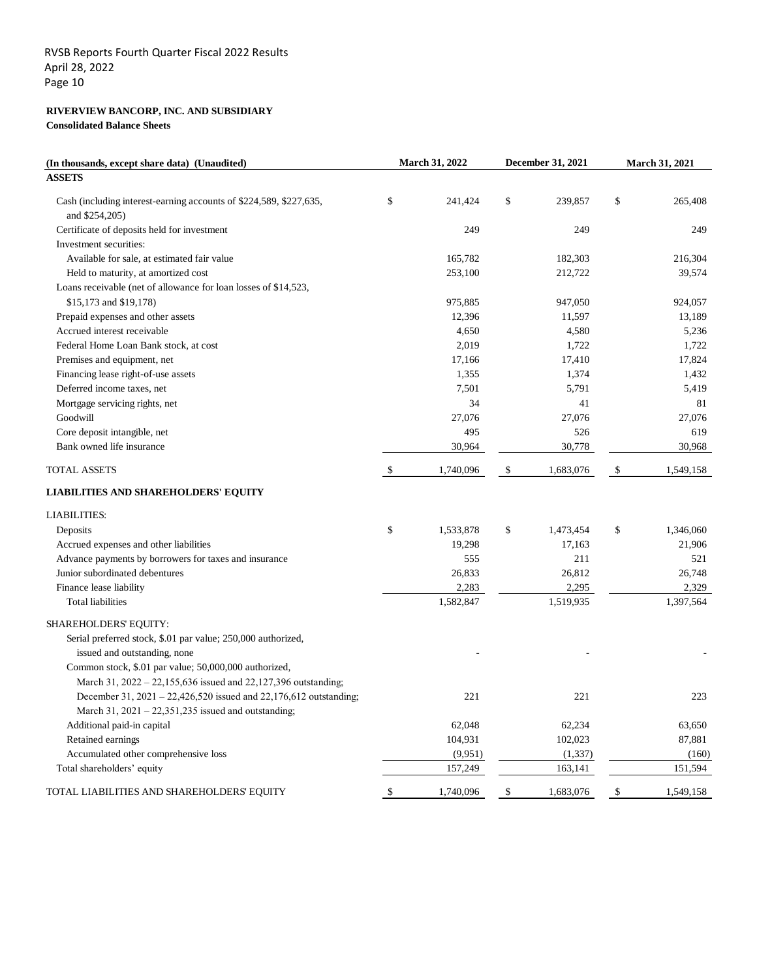# **RIVERVIEW BANCORP, INC. AND SUBSIDIARY Consolidated Balance Sheets**

| (In thousands, except share data) (Unaudited)                                                                              |    | March 31, 2022 |               | December 31, 2021 | March 31, 2021 |           |  |
|----------------------------------------------------------------------------------------------------------------------------|----|----------------|---------------|-------------------|----------------|-----------|--|
| <b>ASSETS</b>                                                                                                              |    |                |               |                   |                |           |  |
| Cash (including interest-earning accounts of \$224,589, \$227,635,<br>and \$254,205)                                       | \$ | 241,424        | \$            | 239,857           | \$             | 265,408   |  |
| Certificate of deposits held for investment                                                                                |    | 249            |               | 249               |                | 249       |  |
| Investment securities:                                                                                                     |    |                |               |                   |                |           |  |
| Available for sale, at estimated fair value                                                                                |    | 165,782        |               | 182,303           |                | 216,304   |  |
| Held to maturity, at amortized cost                                                                                        |    | 253,100        |               | 212,722           |                | 39,574    |  |
| Loans receivable (net of allowance for loan losses of \$14,523,                                                            |    |                |               |                   |                |           |  |
| \$15,173 and \$19,178)                                                                                                     |    | 975,885        |               | 947,050           |                | 924,057   |  |
| Prepaid expenses and other assets                                                                                          |    | 12,396         |               | 11,597            |                | 13,189    |  |
| Accrued interest receivable                                                                                                |    | 4,650          |               | 4,580             |                | 5,236     |  |
| Federal Home Loan Bank stock, at cost                                                                                      |    | 2,019          |               | 1,722             |                | 1,722     |  |
| Premises and equipment, net                                                                                                |    | 17,166         |               | 17,410            |                | 17,824    |  |
| Financing lease right-of-use assets                                                                                        |    | 1,355          |               | 1,374             |                | 1,432     |  |
| Deferred income taxes, net                                                                                                 |    | 7,501          |               | 5,791             |                | 5,419     |  |
| Mortgage servicing rights, net                                                                                             |    | 34             |               | 41                |                | 81        |  |
| Goodwill                                                                                                                   |    | 27,076         |               | 27,076            |                | 27,076    |  |
| Core deposit intangible, net                                                                                               |    | 495            |               | 526               |                | 619       |  |
| Bank owned life insurance                                                                                                  |    | 30,964         |               | 30,778            |                | 30,968    |  |
| <b>TOTAL ASSETS</b>                                                                                                        | \$ | 1,740,096      | $\mathcal{S}$ | 1,683,076         | $\mathbb{S}$   | 1,549,158 |  |
| <b>LIABILITIES AND SHAREHOLDERS' EQUITY</b>                                                                                |    |                |               |                   |                |           |  |
| <b>LIABILITIES:</b>                                                                                                        |    |                |               |                   |                |           |  |
| Deposits                                                                                                                   | \$ | 1,533,878      | \$            | 1,473,454         | \$             | 1,346,060 |  |
| Accrued expenses and other liabilities                                                                                     |    | 19,298         |               | 17,163            |                | 21,906    |  |
| Advance payments by borrowers for taxes and insurance                                                                      |    | 555            |               | 211               |                | 521       |  |
| Junior subordinated debentures                                                                                             |    | 26,833         |               | 26,812            |                | 26.748    |  |
| Finance lease liability                                                                                                    |    | 2,283          |               | 2,295             |                | 2,329     |  |
| <b>Total liabilities</b>                                                                                                   |    | 1,582,847      |               | 1,519,935         |                | 1,397,564 |  |
| SHAREHOLDERS' EQUITY:                                                                                                      |    |                |               |                   |                |           |  |
| Serial preferred stock, \$.01 par value; 250,000 authorized,                                                               |    |                |               |                   |                |           |  |
| issued and outstanding, none                                                                                               |    |                |               |                   |                |           |  |
| Common stock, \$.01 par value; 50,000,000 authorized,                                                                      |    |                |               |                   |                |           |  |
| March 31, 2022 – 22,155,636 issued and 22,127,396 outstanding;                                                             |    |                |               |                   |                |           |  |
| December 31, 2021 - 22,426,520 issued and 22,176,612 outstanding;<br>March 31, $2021 - 22,351,235$ issued and outstanding; |    | 221            |               | 221               |                | 223       |  |
| Additional paid-in capital                                                                                                 |    | 62,048         |               | 62,234            |                | 63,650    |  |
| Retained earnings                                                                                                          |    | 104,931        |               | 102,023           |                | 87,881    |  |
| Accumulated other comprehensive loss                                                                                       |    | (9,951)        |               | (1, 337)          |                | (160)     |  |
| Total shareholders' equity                                                                                                 |    | 157,249        |               | 163,141           |                | 151,594   |  |
| TOTAL LIABILITIES AND SHAREHOLDERS' EQUITY                                                                                 | \$ | 1,740,096      | $\mathbb{S}$  | 1,683,076         | \$             | 1,549,158 |  |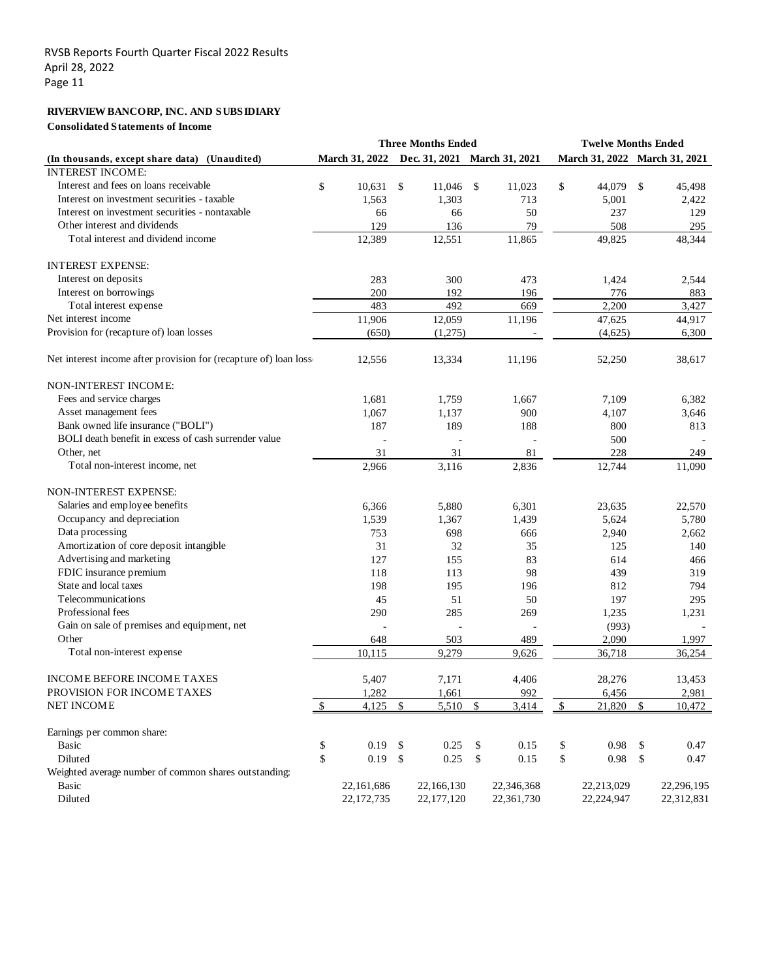# **RIVERVIEW BANCORP, INC. AND SUBSIDIARY**

### **Consolidated Statements of Income**

|                                                                  | <b>Three Months Ended</b> |                |               |                              |               |            | <b>Twelve Months Ended</b> |                               |               |            |
|------------------------------------------------------------------|---------------------------|----------------|---------------|------------------------------|---------------|------------|----------------------------|-------------------------------|---------------|------------|
| (In thousands, except share data) (Unaudited)                    |                           | March 31, 2022 |               | Dec. 31, 2021 March 31, 2021 |               |            |                            | March 31, 2022 March 31, 2021 |               |            |
| <b>INTEREST INCOME:</b>                                          |                           |                |               |                              |               |            |                            |                               |               |            |
| Interest and fees on loans receivable                            | \$                        | $10,631$ \$    |               | 11,046                       | \$            | 11,023     | \$                         | 44,079                        | \$            | 45,498     |
| Interest on investment securities - taxable                      |                           | 1,563          |               | 1,303                        |               | 713        |                            | 5,001                         |               | 2,422      |
| Interest on investment securities - nontaxable                   |                           | 66             |               | 66                           |               | 50         |                            | 237                           |               | 129        |
| Other interest and dividends                                     |                           | 129            |               | 136                          |               | 79         |                            | 508                           |               | 295        |
| Total interest and dividend income                               |                           | 12,389         |               | 12,551                       |               | 11,865     |                            | 49,825                        |               | 48,344     |
| <b>INTEREST EXPENSE:</b>                                         |                           |                |               |                              |               |            |                            |                               |               |            |
| Interest on deposits                                             |                           | 283            |               | 300                          |               | 473        |                            | 1,424                         |               | 2,544      |
| Interest on borrowings                                           |                           | 200            |               | 192                          |               | 196        |                            | 776                           |               | 883        |
| Total interest expense                                           |                           | 483            |               | 492                          |               | 669        |                            | 2,200                         |               | 3,427      |
| Net interest income                                              |                           | 11,906         |               | 12,059                       |               | 11,196     |                            | 47,625                        |               | 44,917     |
| Provision for (recapture of) loan losses                         |                           | (650)          |               | (1,275)                      |               |            |                            | (4,625)                       |               | 6,300      |
| Net interest income after provision for (recapture of) loan loss |                           | 12,556         |               | 13,334                       |               | 11,196     |                            | 52,250                        |               | 38,617     |
| NON-INTEREST INCOME:                                             |                           |                |               |                              |               |            |                            |                               |               |            |
| Fees and service charges                                         |                           | 1,681          |               | 1,759                        |               | 1,667      |                            | 7,109                         |               | 6,382      |
| Asset management fees                                            |                           | 1,067          |               | 1,137                        |               | 900        |                            | 4,107                         |               | 3,646      |
| Bank owned life insurance ("BOLI")                               |                           | 187            |               | 189                          |               | 188        |                            | 800                           |               | 813        |
| BOLI death benefit in excess of cash surrender value             |                           |                |               |                              |               |            |                            | 500                           |               |            |
| Other, net                                                       |                           | 31             |               | 31                           |               | 81         |                            | 228                           |               | 249        |
| Total non-interest income, net                                   |                           | 2,966          |               | 3,116                        |               | 2,836      |                            | 12,744                        |               | 11,090     |
| NON-INTEREST EXPENSE:                                            |                           |                |               |                              |               |            |                            |                               |               |            |
| Salaries and employee benefits                                   |                           | 6,366          |               | 5,880                        |               | 6,301      |                            | 23,635                        |               | 22,570     |
| Occupancy and depreciation                                       |                           | 1,539          |               | 1,367                        |               | 1,439      |                            | 5,624                         |               | 5,780      |
| Data processing                                                  |                           | 753            |               | 698                          |               | 666        |                            | 2,940                         |               | 2,662      |
| Amortization of core deposit intangible                          |                           | 31             |               | 32                           |               | 35         |                            | 125                           |               | 140        |
| Advertising and marketing                                        |                           | 127            |               | 155                          |               | 83         |                            | 614                           |               | 466        |
| FDIC insurance premium                                           |                           | 118            |               | 113                          |               | 98         |                            | 439                           |               | 319        |
| State and local taxes                                            |                           | 198            |               | 195                          |               | 196        |                            | 812                           |               | 794        |
| Telecommunications                                               |                           | 45             |               | 51                           |               | 50         |                            | 197                           |               | 295        |
| Professional fees                                                |                           | 290            |               | 285                          |               | 269        |                            | 1,235                         |               | 1,231      |
| Gain on sale of premises and equipment, net                      |                           |                |               | $\overline{\phantom{a}}$     |               |            |                            | (993)                         |               |            |
| Other                                                            |                           | 648            |               | 503                          |               | 489        |                            | 2,090                         |               | 1,997      |
| Total non-interest expense                                       |                           | 10,115         |               | 9,279                        |               | 9,626      |                            | 36,718                        |               | 36,254     |
| <b>INCOME BEFORE INCOME TAXES</b>                                |                           | 5,407          |               | 7,171                        |               | 4,406      |                            | 28,276                        |               | 13,453     |
| PROVISION FOR INCOME TAXES                                       |                           | 1,282          |               | 1,661                        |               | 992        |                            | 6,456                         |               | 2,981      |
| NET INCOME                                                       | $\frac{1}{2}$             | 4,125          | $\mathcal{S}$ | 5,510                        | $\mathcal{S}$ | 3,414      | $\sqrt{\frac{2}{5}}$       | 21,820                        | $\mathcal{S}$ | 10,472     |
| Earnings per common share:                                       |                           |                |               |                              |               |            |                            |                               |               |            |
| Basic                                                            | \$                        | 0.19           | $\mathbb{S}$  | 0.25                         | \$            | 0.15       | \$                         | 0.98                          | \$            | 0.47       |
| Diluted                                                          | \$                        | $0.19$ \$      |               | 0.25                         | \$            | 0.15       | \$                         | $0.98$ \$                     |               | 0.47       |
| Weighted average number of common shares outstanding:            |                           |                |               |                              |               |            |                            |                               |               |            |
| <b>Basic</b>                                                     |                           | 22,161,686     |               | 22,166,130                   |               | 22,346,368 |                            | 22,213,029                    |               | 22,296,195 |
| Diluted                                                          |                           | 22, 172, 735   |               | 22,177,120                   |               | 22,361,730 |                            | 22,224,947                    |               | 22,312,831 |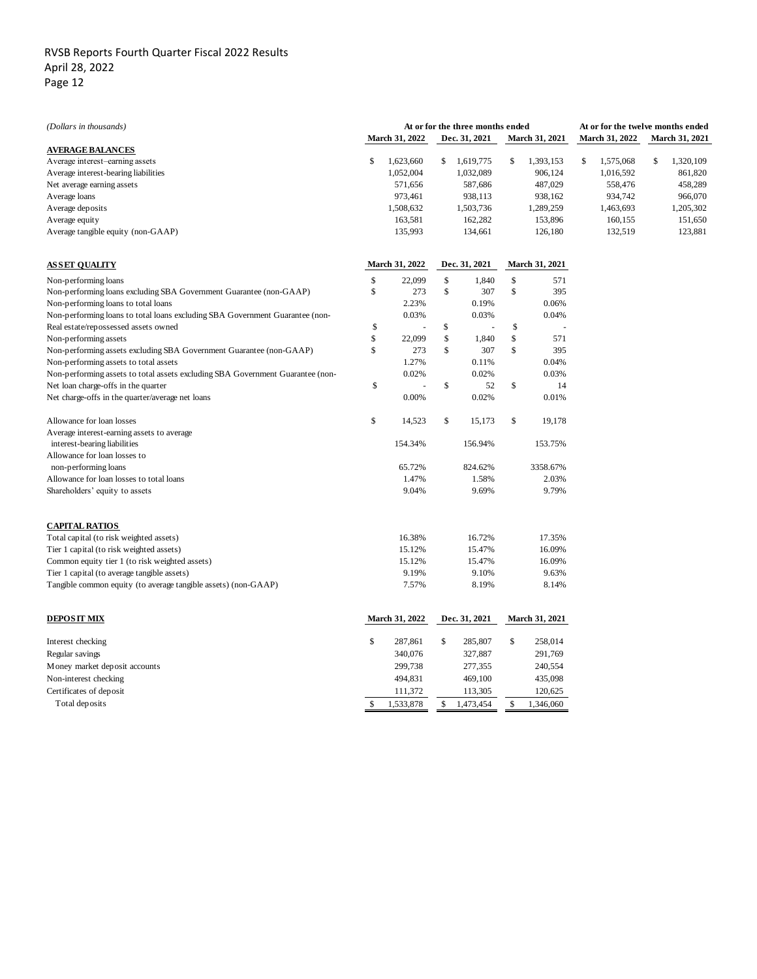| (Dollars in thousands)                                             |    | At or for the three months ended |               |               |                       | At or for the twelve months ended |                       |           |                |           |
|--------------------------------------------------------------------|----|----------------------------------|---------------|---------------|-----------------------|-----------------------------------|-----------------------|-----------|----------------|-----------|
|                                                                    |    | <b>March 31, 2022</b>            | Dec. 31, 2021 |               | <b>March 31, 2021</b> |                                   | <b>March 31, 2022</b> |           | March 31, 2021 |           |
| <b>AVERAGE BALANCES</b>                                            |    |                                  |               |               |                       |                                   |                       |           |                |           |
| Average interest-earning assets                                    | \$ | 1,623,660                        | S.            | 1,619,775     | \$.                   | 1,393,153                         | \$.                   | 1,575,068 | \$.            | 1,320,109 |
| Average interest-bearing liabilities                               |    | 1,052,004                        |               | 1,032,089     |                       | 906.124                           |                       | 1.016.592 |                | 861,820   |
| Net average earning assets                                         |    | 571.656                          |               | 587,686       |                       | 487.029                           |                       | 558,476   |                | 458,289   |
| Average loans                                                      |    | 973.461                          |               | 938,113       |                       | 938,162                           |                       | 934,742   |                | 966,070   |
| Average deposits                                                   |    | 1,508,632                        |               | 1,503,736     |                       | 1,289,259                         |                       | 1,463,693 |                | 1,205,302 |
| Average equity                                                     |    | 163.581                          |               | 162,282       |                       | 153,896                           |                       | 160,155   |                | 151,650   |
| Average tangible equity (non-GAAP)                                 |    | 135,993                          |               | 134,661       |                       | 126,180                           |                       | 132,519   |                | 123,881   |
| <b>ASSET OUALITY</b>                                               |    | March 31, 2022                   |               | Dec. 31, 2021 |                       | March 31, 2021                    |                       |           |                |           |
| Non-performing loans                                               | ъ  | 22,099                           | \$.           | 1,840         | S                     | 571                               |                       |           |                |           |
| Non-performing loans excluding SBA Government Guarantee (non-GAAP) |    | 273                              | \$.           | 307           | -S                    | 395                               |                       |           |                |           |
| Non performing loans to total loans                                |    | 2.204                            |               | 0.1004        |                       | 0.0604                            |                       |           |                |           |

| Non-performing loans to total loans                                            | 2.23%          | 0.19%         | 0.06%          |
|--------------------------------------------------------------------------------|----------------|---------------|----------------|
| Non-performing loans to total loans excluding SBA Government Guarantee (non-   | 0.03%          | 0.03%         | 0.04%          |
| Real estate/repossessed assets owned                                           | \$             | \$            | \$             |
| Non-performing assets                                                          | \$<br>22,099   | \$<br>1,840   | \$<br>571      |
| Non-performing assets excluding SBA Government Guarantee (non-GAAP)            | \$<br>273      | \$<br>307     | \$<br>395      |
| Non-performing assets to total assets                                          | 1.27%          | 0.11%         | 0.04%          |
| Non-performing assets to total assets excluding SBA Government Guarantee (non- | 0.02%          | 0.02%         | 0.03%          |
| Net loan charge-offs in the quarter                                            | \$             | \$<br>52      | \$<br>14       |
| Net charge-offs in the quarter/average net loans                               | 0.00%          | 0.02%         | 0.01%          |
| Allowance for loan losses                                                      | \$<br>14,523   | \$<br>15,173  | \$<br>19,178   |
| Average interest-earning assets to average                                     |                |               |                |
| interest-bearing liabilities                                                   | 154.34%        | 156.94%       | 153.75%        |
| Allowance for loan losses to                                                   |                |               |                |
| non-performing loans                                                           | 65.72%         | 824.62%       | 3358.67%       |
| Allowance for loan losses to total loans                                       | 1.47%          | 1.58%         | 2.03%          |
| Shareholders' equity to assets                                                 | 9.04%          | 9.69%         | 9.79%          |
| <b>CAPITAL RATIOS</b>                                                          |                |               |                |
| Total capital (to risk weighted assets)                                        | 16.38%         | 16.72%        | 17.35%         |
| Tier 1 capital (to risk weighted assets)                                       | 15.12%         | 15.47%        | 16.09%         |
| Common equity tier 1 (to risk weighted assets)                                 | 15.12%         | 15.47%        | 16.09%         |
| Tier 1 capital (to average tangible assets)                                    | 9.19%          | 9.10%         | 9.63%          |
| Tangible common equity (to average tangible assets) (non-GAAP)                 | 7.57%          | 8.19%         | 8.14%          |
| <b>DEPOSIT MIX</b>                                                             | March 31, 2022 | Dec. 31, 2021 | March 31, 2021 |
| Interest checking                                                              | \$<br>287,861  | \$<br>285,807 | \$<br>258,014  |
| Regular savings                                                                | 340,076        | 327,887       | 291,769        |
| Money market deposit accounts                                                  | 299,738        | 277,355       | 240,554        |
| Non-interest checking                                                          | 494.831        | 469,100       | 435,098        |

Certificates of deposit<br>Total deposits  $\frac{111,372}{\$ \ \ 1,533,878}$   $\frac{113,305}{\$ \ \ 1,473,454}$   $\frac{120,625}{\$ \ \ 1,346,060}$ 

 $\overline{\$}$  1,533,878  $\overline{\$}$  1,473,454  $\overline{\$}$  1,346,060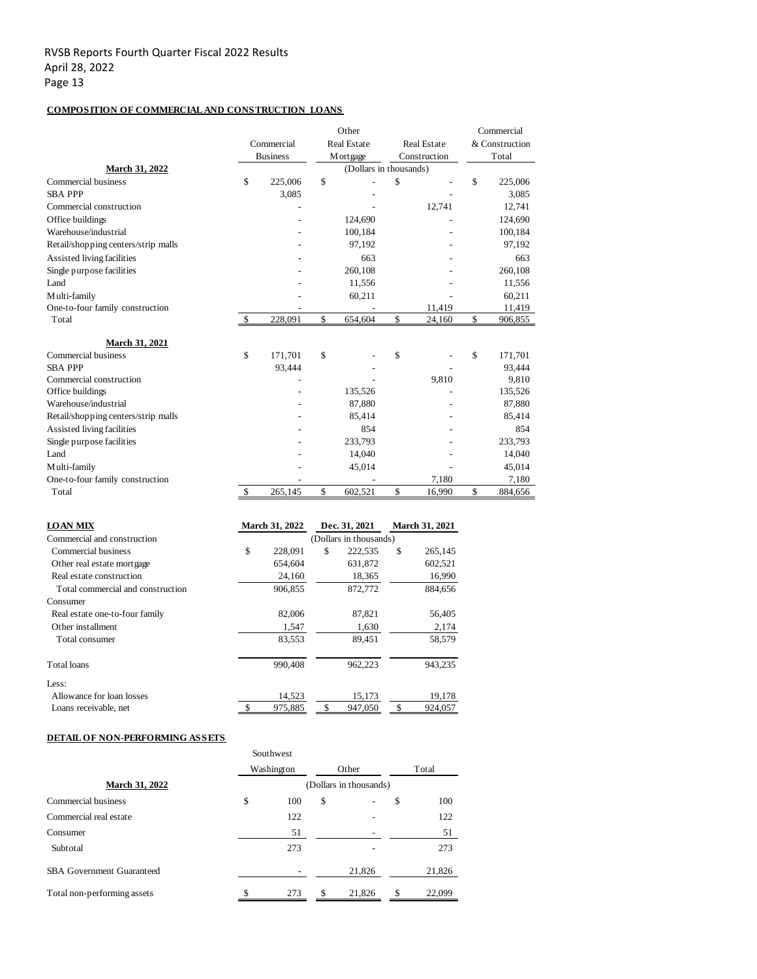# **COMPOSITION OF COMMERCIAL AND CONSTRUCTION LOANS**

|                                     |              | Commercial<br><b>Business</b> |    | Other<br><b>Real Estate</b><br>M ortgage |    | <b>Real Estate</b><br>Construction |              | Commercial<br>& Construction<br>Total |
|-------------------------------------|--------------|-------------------------------|----|------------------------------------------|----|------------------------------------|--------------|---------------------------------------|
| March 31, 2022                      |              | (Dollars in thousands)        |    |                                          |    |                                    |              |                                       |
| Commercial business                 | \$           | 225,006                       | \$ |                                          | \$ |                                    | \$           | 225,006                               |
| <b>SBA PPP</b>                      |              | 3,085                         |    |                                          |    |                                    |              | 3,085                                 |
| Commercial construction             |              |                               |    |                                          |    | 12,741                             |              | 12,741                                |
| Office buildings                    |              |                               |    | 124,690                                  |    |                                    |              | 124,690                               |
| Warehouse/industrial                |              |                               |    | 100,184                                  |    |                                    |              | 100,184                               |
| Retail/shopping centers/strip malls |              |                               |    | 97,192                                   |    |                                    |              | 97,192                                |
| Assisted living facilities          |              |                               |    | 663                                      |    |                                    |              | 663                                   |
| Single purpose facilities           |              |                               |    | 260,108                                  |    |                                    |              | 260,108                               |
| Land                                |              |                               |    | 11,556                                   |    |                                    |              | 11,556                                |
| Multi-family                        |              |                               |    | 60,211                                   |    |                                    |              | 60,211                                |
| One-to-four family construction     |              |                               |    |                                          |    | 11,419                             |              | 11,419                                |
| Total                               | $\mathbf{s}$ | 228,091                       | \$ | 654,604                                  | \$ | 24,160                             | $\mathbb{S}$ | 906,855                               |
| March 31, 2021                      |              |                               |    |                                          |    |                                    |              |                                       |
| Commercial business                 | \$           | 171,701                       | \$ |                                          | \$ |                                    | \$.          | 171,701                               |
| <b>SBA PPP</b>                      |              | 93,444                        |    |                                          |    |                                    |              | 93,444                                |
| Commercial construction             |              |                               |    |                                          |    | 9,810                              |              | 9,810                                 |
| Office buildings                    |              |                               |    | 135,526                                  |    |                                    |              | 135,526                               |
| Warehouse/industrial                |              |                               |    | 87.880                                   |    |                                    |              | 87,880                                |
| Retail/shopping centers/strip malls |              |                               |    | 85,414                                   |    |                                    |              | 85,414                                |
| Assisted living facilities          |              |                               |    | 854                                      |    |                                    |              | 854                                   |
| Single purpose facilities           |              |                               |    | 233,793                                  |    |                                    |              | 233,793                               |
| Land                                |              |                               |    | 14,040                                   |    |                                    |              | 14,040                                |
| Multi-family                        |              |                               |    | 45,014                                   |    |                                    |              | 45,014                                |
| One-to-four family construction     |              |                               |    |                                          |    | 7,180                              |              | 7,180                                 |
| Total                               | \$           | 265,145                       | \$ | 602,521                                  | \$ | 16,990                             | \$           | 884,656                               |
|                                     |              |                               |    |                                          |    |                                    |              |                                       |

| <b>LOAN MIX</b>                   |    | March 31, 2022 |     | Dec. 31, 2021 | <b>March 31, 2021</b> |         |  |
|-----------------------------------|----|----------------|-----|---------------|-----------------------|---------|--|
| Commercial and construction       |    |                |     |               |                       |         |  |
| Commercial business               | \$ | 228,091        | S   | 222,535       | \$                    | 265,145 |  |
| Other real estate mortgage        |    | 654.604        |     | 631,872       |                       | 602,521 |  |
| Real estate construction          |    | 24,160         |     | 18,365        |                       | 16,990  |  |
| Total commercial and construction |    | 906.855        |     | 872,772       |                       | 884.656 |  |
| Consumer                          |    |                |     |               |                       |         |  |
| Real estate one-to-four family    |    | 82,006         |     | 87,821        |                       | 56,405  |  |
| Other installment                 |    | 1,547          |     | 1,630         |                       | 2,174   |  |
| Total consumer                    |    | 83,553         |     | 89.451        |                       | 58,579  |  |
| Total loans                       |    | 990,408        |     | 962,223       |                       | 943.235 |  |
| Less:                             |    |                |     |               |                       |         |  |
| Allowance for loan losses         |    | 14,523         |     | 15,173        |                       | 19,178  |  |
| Loans receivable, net             |    | 975,885        | \$. | 947,050       |                       | 924,057 |  |

### **DETAIL OF NON-PERFORMING ASSETS**

|                             | Southwest |            |                        |        |    |        |
|-----------------------------|-----------|------------|------------------------|--------|----|--------|
|                             |           | Washington |                        | Other  |    | Total  |
| March 31, 2022              |           |            | (Dollars in thousands) |        |    |        |
| Commercial business         | \$        | 100        | \$                     |        | S  | 100    |
| Commercial real estate      |           | 122        |                        |        |    | 122    |
| Consumer                    |           | 51         |                        |        |    | 51     |
| Subtotal                    |           | 273        |                        |        |    | 273    |
| SBA Government Guaranteed   |           |            |                        | 21,826 |    | 21,826 |
| Total non-performing assets |           | 273        | £.                     | 21.826 | £. | 22,099 |